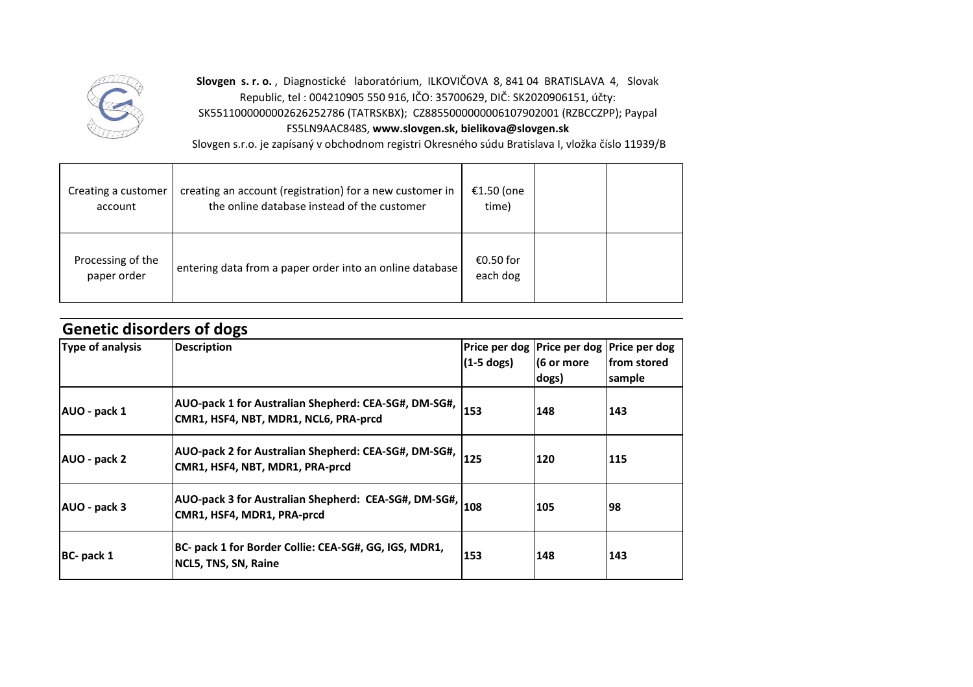

**Slovgen s. r. o.** , Diagnostické laboratórium, ILKOVIČOVA 8, 841 04 BRATISLAVA 4, Slovak Republic, tel : 004210905 550 916, IČO: 35700629, DIČ: SK2020906151, účty: SK5511000000002626252786 (TATRSKBX); CZ8855000000006107902001 (RZBCCZPP); Paypal FS5LN9AAC848S, **www.slovgen.sk, bielikova@slovgen.sk**

Slovgen s.r.o. je zapísaný v obchodnom registri Okresného súdu Bratislava I, vložka číslo 11939/B

| Creating a customer<br>account   | creating an account (registration) for a new customer in<br>the online database instead of the customer | €1.50 (one<br>time)   |  |
|----------------------------------|---------------------------------------------------------------------------------------------------------|-----------------------|--|
| Processing of the<br>paper order | entering data from a paper order into an online database                                                | €0.50 for<br>each dog |  |

| <b>Genetic disorders of dogs</b> |                                                                                                        |              |                                                                      |                        |  |  |
|----------------------------------|--------------------------------------------------------------------------------------------------------|--------------|----------------------------------------------------------------------|------------------------|--|--|
| Type of analysis                 | <b>Description</b>                                                                                     | $(1-5$ dogs) | Price per dog   Price per dog   Price per dog<br>(6 or more<br>dogs) | lfrom stored<br>sample |  |  |
| AUO - pack 1                     | AUO-pack 1 for Australian Shepherd: CEA-SG#, DM-SG#,<br>CMR1, HSF4, NBT, MDR1, NCL6, PRA-prcd          | 153          | 148                                                                  | 143                    |  |  |
| AUO - pack 2                     | AUO-pack 2 for Australian Shepherd: CEA-SG#, DM-SG#,<br>CMR1, HSF4, NBT, MDR1, PRA-prcd                | 125          | 120                                                                  | 115                    |  |  |
| AUO - pack 3                     | $\vert$ AUO-pack 3 for Australian Shepherd: CEA-SG#, DM-SG#, $\vert$ 108<br>CMR1, HSF4, MDR1, PRA-prcd |              | 105                                                                  | 98                     |  |  |
| BC- pack 1                       | BC- pack 1 for Border Collie: CEA-SG#, GG, IGS, MDR1,<br>NCL5, TNS, SN, Raine                          | 153          | 148                                                                  | 143                    |  |  |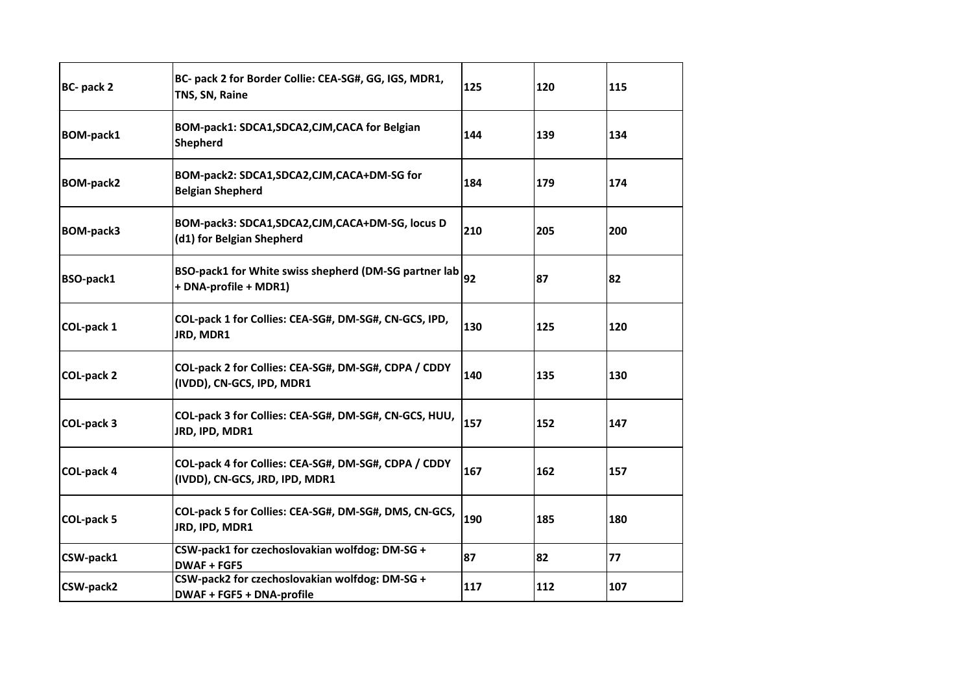| BC- pack 2        | BC- pack 2 for Border Collie: CEA-SG#, GG, IGS, MDR1,<br>TNS, SN, Raine                | 125 | 120 | 115 |
|-------------------|----------------------------------------------------------------------------------------|-----|-----|-----|
| <b>BOM-pack1</b>  | BOM-pack1: SDCA1, SDCA2, CJM, CACA for Belgian<br><b>Shepherd</b>                      | 144 | 139 | 134 |
| <b>BOM-pack2</b>  | BOM-pack2: SDCA1,SDCA2,CJM,CACA+DM-SG for<br><b>Belgian Shepherd</b>                   | 184 | 179 | 174 |
| <b>BOM-pack3</b>  | BOM-pack3: SDCA1,SDCA2,CJM,CACA+DM-SG, locus D<br>(d1) for Belgian Shepherd            | 210 | 205 | 200 |
| BSO-pack1         | BSO-pack1 for White swiss shepherd (DM-SG partner lab<br>+ DNA-profile + MDR1)         | 92  | 87  | 82  |
| COL-pack 1        | COL-pack 1 for Collies: CEA-SG#, DM-SG#, CN-GCS, IPD,<br>JRD, MDR1                     | 130 | 125 | 120 |
| <b>COL-pack 2</b> | COL-pack 2 for Collies: CEA-SG#, DM-SG#, CDPA / CDDY<br>(IVDD), CN-GCS, IPD, MDR1      | 140 | 135 | 130 |
| COL-pack 3        | COL-pack 3 for Collies: CEA-SG#, DM-SG#, CN-GCS, HUU,<br>JRD, IPD, MDR1                | 157 | 152 | 147 |
| COL-pack 4        | COL-pack 4 for Collies: CEA-SG#, DM-SG#, CDPA / CDDY<br>(IVDD), CN-GCS, JRD, IPD, MDR1 | 167 | 162 | 157 |
| COL-pack 5        | COL-pack 5 for Collies: CEA-SG#, DM-SG#, DMS, CN-GCS,<br>JRD, IPD, MDR1                | 190 | 185 | 180 |
| CSW-pack1         | CSW-pack1 for czechoslovakian wolfdog: DM-SG +<br><b>DWAF + FGF5</b>                   | 87  | 82  | 77  |
| CSW-pack2         | CSW-pack2 for czechoslovakian wolfdog: DM-SG +<br>DWAF + FGF5 + DNA-profile            | 117 | 112 | 107 |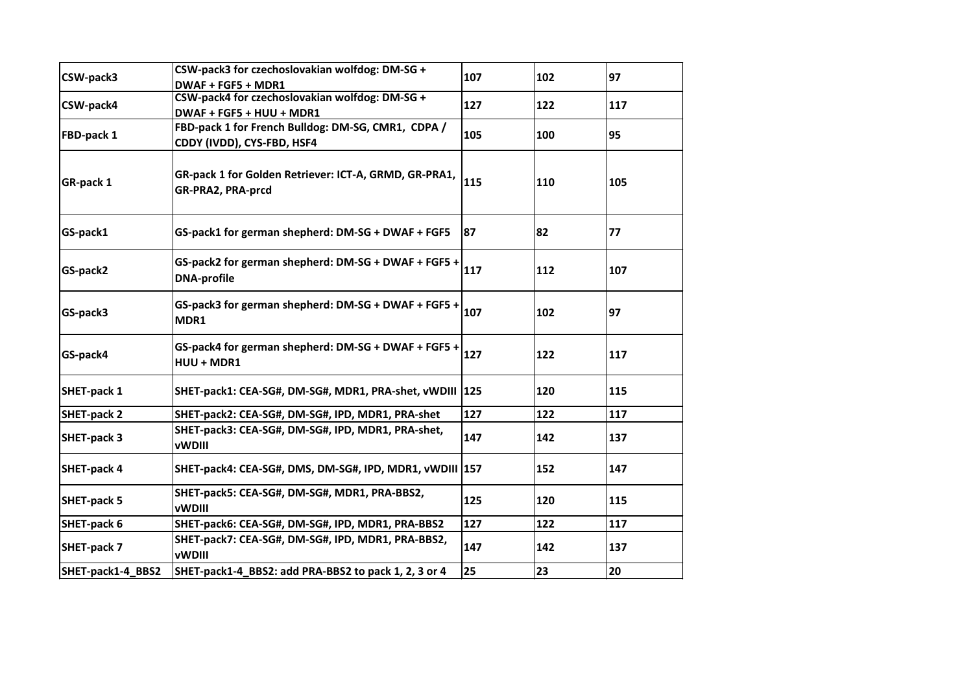| CSW-pack3          | CSW-pack3 for czechoslovakian wolfdog: DM-SG +<br>DWAF + FGF5 + MDR1             | 107 | 102 | 97  |
|--------------------|----------------------------------------------------------------------------------|-----|-----|-----|
| CSW-pack4          | CSW-pack4 for czechoslovakian wolfdog: DM-SG +<br>DWAF + FGF5 + HUU + MDR1       | 127 | 122 | 117 |
| FBD-pack 1         | FBD-pack 1 for French Bulldog: DM-SG, CMR1, CDPA /<br>CDDY (IVDD), CYS-FBD, HSF4 | 105 | 100 | 95  |
| GR-pack 1          | GR-pack 1 for Golden Retriever: ICT-A, GRMD, GR-PRA1,<br>GR-PRA2, PRA-prcd       | 115 | 110 | 105 |
| GS-pack1           | GS-pack1 for german shepherd: DM-SG + DWAF + FGF5                                | 87  | 82  | 77  |
| GS-pack2           | GS-pack2 for german shepherd: DM-SG + DWAF + FGF5 +<br><b>DNA-profile</b>        | 117 | 112 | 107 |
| GS-pack3           | GS-pack3 for german shepherd: DM-SG + DWAF + FGF5 +<br>MDR1                      | 107 | 102 | 97  |
| GS-pack4           | GS-pack4 for german shepherd: DM-SG + DWAF + FGF5 +<br>HUU + MDR1                | 127 | 122 | 117 |
| SHET-pack 1        | SHET-pack1: CEA-SG#, DM-SG#, MDR1, PRA-shet, vWDIII  125                         |     | 120 | 115 |
| <b>SHET-pack 2</b> | SHET-pack2: CEA-SG#, DM-SG#, IPD, MDR1, PRA-shet                                 | 127 | 122 | 117 |
| <b>SHET-pack 3</b> | SHET-pack3: CEA-SG#, DM-SG#, IPD, MDR1, PRA-shet,<br><b>vWDIII</b>               | 147 | 142 | 137 |
| <b>SHET-pack 4</b> | SHET-pack4: CEA-SG#, DMS, DM-SG#, IPD, MDR1, vWDIII 157                          |     | 152 | 147 |
| SHET-pack 5        | SHET-pack5: CEA-SG#, DM-SG#, MDR1, PRA-BBS2,<br><b>vWDIII</b>                    | 125 | 120 | 115 |
| SHET-pack 6        | SHET-pack6: CEA-SG#, DM-SG#, IPD, MDR1, PRA-BBS2                                 | 127 | 122 | 117 |
| SHET-pack 7        | SHET-pack7: CEA-SG#, DM-SG#, IPD, MDR1, PRA-BBS2,<br><b>vWDIII</b>               | 147 | 142 | 137 |
| SHET-pack1-4_BBS2  | SHET-pack1-4 BBS2: add PRA-BBS2 to pack 1, 2, 3 or 4                             | 25  | 23  | 20  |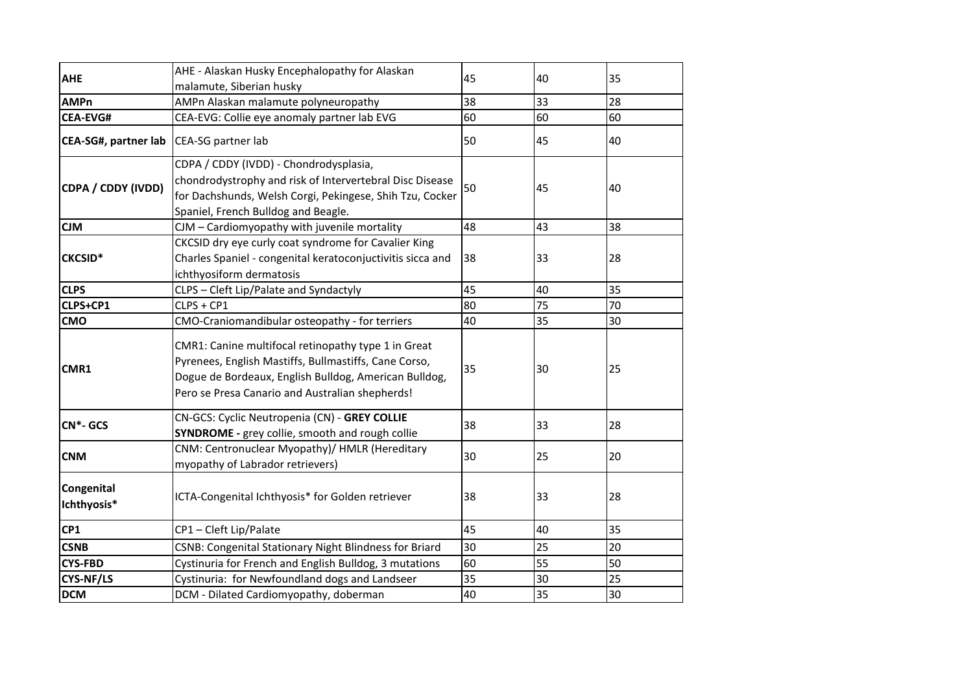|                           | AHE - Alaskan Husky Encephalopathy for Alaskan                                                                                                                                                                           |    |    |    |
|---------------------------|--------------------------------------------------------------------------------------------------------------------------------------------------------------------------------------------------------------------------|----|----|----|
| <b>AHE</b>                | malamute, Siberian husky                                                                                                                                                                                                 | 45 | 40 | 35 |
| <b>AMPn</b>               | AMPn Alaskan malamute polyneuropathy                                                                                                                                                                                     | 38 | 33 | 28 |
| <b>CEA-EVG#</b>           | CEA-EVG: Collie eye anomaly partner lab EVG                                                                                                                                                                              | 60 | 60 | 60 |
| CEA-SG#, partner lab      | CEA-SG partner lab                                                                                                                                                                                                       | 50 | 45 | 40 |
| CDPA / CDDY (IVDD)        | CDPA / CDDY (IVDD) - Chondrodysplasia,<br>chondrodystrophy and risk of Intervertebral Disc Disease<br>for Dachshunds, Welsh Corgi, Pekingese, Shih Tzu, Cocker<br>Spaniel, French Bulldog and Beagle.                    | 50 | 45 | 40 |
| <b>CJM</b>                | CJM - Cardiomyopathy with juvenile mortality                                                                                                                                                                             | 48 | 43 | 38 |
| <b>CKCSID*</b>            | CKCSID dry eye curly coat syndrome for Cavalier King<br>Charles Spaniel - congenital keratoconjuctivitis sicca and<br>ichthyosiform dermatosis                                                                           | 38 | 33 | 28 |
| <b>CLPS</b>               | CLPS - Cleft Lip/Palate and Syndactyly                                                                                                                                                                                   | 45 | 40 | 35 |
| CLPS+CP1                  | CLPS + CP1                                                                                                                                                                                                               | 80 | 75 | 70 |
| <b>CMO</b>                | CMO-Craniomandibular osteopathy - for terriers                                                                                                                                                                           | 40 | 35 | 30 |
| CMR1                      | CMR1: Canine multifocal retinopathy type 1 in Great<br>Pyrenees, English Mastiffs, Bullmastiffs, Cane Corso,<br>Dogue de Bordeaux, English Bulldog, American Bulldog,<br>Pero se Presa Canario and Australian shepherds! | 35 | 30 | 25 |
| $CN*-GCS$                 | CN-GCS: Cyclic Neutropenia (CN) - GREY COLLIE<br><b>SYNDROME</b> - grey collie, smooth and rough collie                                                                                                                  | 38 | 33 | 28 |
| <b>CNM</b>                | CNM: Centronuclear Myopathy)/ HMLR (Hereditary<br>myopathy of Labrador retrievers)                                                                                                                                       | 30 | 25 | 20 |
| Congenital<br>Ichthyosis* | ICTA-Congenital Ichthyosis* for Golden retriever                                                                                                                                                                         | 38 | 33 | 28 |
| CP1                       | CP1-Cleft Lip/Palate                                                                                                                                                                                                     | 45 | 40 | 35 |
| <b>CSNB</b>               | <b>CSNB: Congenital Stationary Night Blindness for Briard</b>                                                                                                                                                            | 30 | 25 | 20 |
| <b>CYS-FBD</b>            | Cystinuria for French and English Bulldog, 3 mutations                                                                                                                                                                   | 60 | 55 | 50 |
| CYS-NF/LS                 | Cystinuria: for Newfoundland dogs and Landseer                                                                                                                                                                           | 35 | 30 | 25 |
| <b>DCM</b>                | DCM - Dilated Cardiomyopathy, doberman                                                                                                                                                                                   | 40 | 35 | 30 |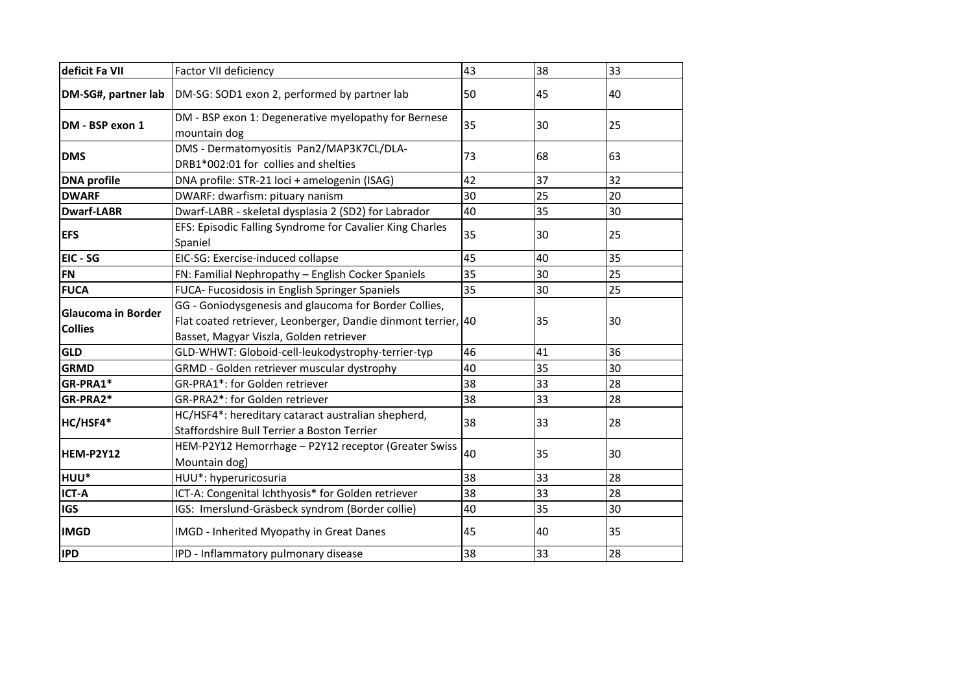| deficit Fa VII                              | Factor VII deficiency                                                                                                                                             | 43 | 38 | 33 |
|---------------------------------------------|-------------------------------------------------------------------------------------------------------------------------------------------------------------------|----|----|----|
| DM-SG#, partner lab                         | DM-SG: SOD1 exon 2, performed by partner lab                                                                                                                      | 50 | 45 | 40 |
| DM - BSP exon 1                             | DM - BSP exon 1: Degenerative myelopathy for Bernese<br>mountain dog                                                                                              | 35 | 30 | 25 |
| <b>DMS</b>                                  | DMS - Dermatomyositis Pan2/MAP3K7CL/DLA-<br>DRB1*002:01 for collies and shelties                                                                                  | 73 | 68 | 63 |
| <b>DNA</b> profile                          | DNA profile: STR-21 loci + amelogenin (ISAG)                                                                                                                      | 42 | 37 | 32 |
| <b>DWARF</b>                                | DWARF: dwarfism: pituary nanism                                                                                                                                   | 30 | 25 | 20 |
| <b>Dwarf-LABR</b>                           | Dwarf-LABR - skeletal dysplasia 2 (SD2) for Labrador                                                                                                              | 40 | 35 | 30 |
| <b>EFS</b>                                  | EFS: Episodic Falling Syndrome for Cavalier King Charles<br>Spaniel                                                                                               | 35 | 30 | 25 |
| EIC - SG                                    | EIC-SG: Exercise-induced collapse                                                                                                                                 | 45 | 40 | 35 |
| <b>FN</b>                                   | FN: Familial Nephropathy - English Cocker Spaniels                                                                                                                | 35 | 30 | 25 |
| <b>FUCA</b>                                 | FUCA- Fucosidosis in English Springer Spaniels                                                                                                                    | 35 | 30 | 25 |
| <b>Glaucoma in Border</b><br><b>Collies</b> | GG - Goniodysgenesis and glaucoma for Border Collies,<br>Flat coated retriever, Leonberger, Dandie dinmont terrier, 40<br>Basset, Magyar Viszla, Golden retriever |    | 35 | 30 |
| <b>GLD</b>                                  | GLD-WHWT: Globoid-cell-leukodystrophy-terrier-typ                                                                                                                 | 46 | 41 | 36 |
| <b>GRMD</b>                                 | GRMD - Golden retriever muscular dystrophy                                                                                                                        | 40 | 35 | 30 |
| GR-PRA1*                                    | GR-PRA1*: for Golden retriever                                                                                                                                    | 38 | 33 | 28 |
| GR-PRA2*                                    | GR-PRA2*: for Golden retriever                                                                                                                                    | 38 | 33 | 28 |
| HC/HSF4*                                    | HC/HSF4*: hereditary cataract australian shepherd,<br>Staffordshire Bull Terrier a Boston Terrier                                                                 | 38 | 33 | 28 |
| <b>HEM-P2Y12</b>                            | HEM-P2Y12 Hemorrhage - P2Y12 receptor (Greater Swiss<br>Mountain dog)                                                                                             | 40 | 35 | 30 |
| lhuu*                                       | HUU*: hyperuricosuria                                                                                                                                             | 38 | 33 | 28 |
| <b>ICT-A</b>                                | ICT-A: Congenital Ichthyosis* for Golden retriever                                                                                                                | 38 | 33 | 28 |
| lıgs                                        | IGS: Imerslund-Gräsbeck syndrom (Border collie)                                                                                                                   | 40 | 35 | 30 |
| <b>IMGD</b>                                 | IMGD - Inherited Myopathy in Great Danes                                                                                                                          | 45 | 40 | 35 |
| <b>IPD</b>                                  | IPD - Inflammatory pulmonary disease                                                                                                                              | 38 | 33 | 28 |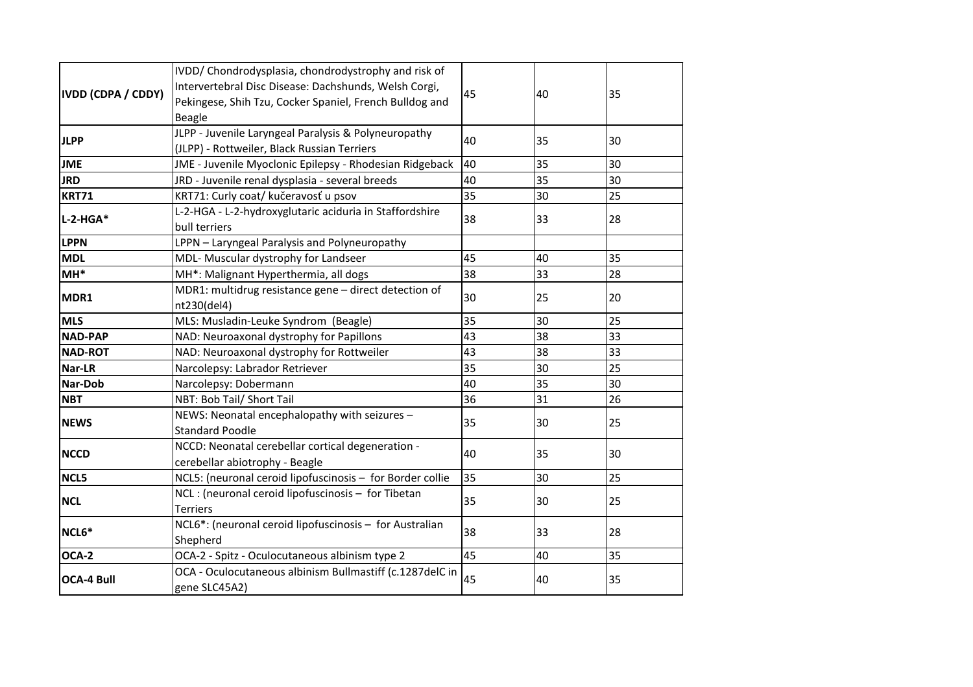| IVDD (CDPA / CDDY) | IVDD/ Chondrodysplasia, chondrodystrophy and risk of<br>Intervertebral Disc Disease: Dachshunds, Welsh Corgi,<br>Pekingese, Shih Tzu, Cocker Spaniel, French Bulldog and<br><b>Beagle</b> | 45 | 40 | 35 |
|--------------------|-------------------------------------------------------------------------------------------------------------------------------------------------------------------------------------------|----|----|----|
|                    |                                                                                                                                                                                           |    |    |    |
| <b>JLPP</b>        | JLPP - Juvenile Laryngeal Paralysis & Polyneuropathy<br>(JLPP) - Rottweiler, Black Russian Terriers                                                                                       | 40 | 35 | 30 |
| <b>JME</b>         | JME - Juvenile Myoclonic Epilepsy - Rhodesian Ridgeback                                                                                                                                   | 40 | 35 | 30 |
| <b>JRD</b>         | JRD - Juvenile renal dysplasia - several breeds                                                                                                                                           | 40 | 35 | 30 |
| <b>KRT71</b>       | KRT71: Curly coat/ kučeravosť u psov                                                                                                                                                      | 35 | 30 | 25 |
| $L-2-HGA*$         | L-2-HGA - L-2-hydroxyglutaric aciduria in Staffordshire<br>bull terriers                                                                                                                  | 38 | 33 | 28 |
| <b>LPPN</b>        | LPPN - Laryngeal Paralysis and Polyneuropathy                                                                                                                                             |    |    |    |
| <b>MDL</b>         | MDL- Muscular dystrophy for Landseer                                                                                                                                                      | 45 | 40 | 35 |
| $MH*$              | MH*: Malignant Hyperthermia, all dogs                                                                                                                                                     | 38 | 33 | 28 |
| MDR1               | MDR1: multidrug resistance gene - direct detection of<br>nt230(del4)                                                                                                                      | 30 | 25 | 20 |
| <b>MLS</b>         | MLS: Musladin-Leuke Syndrom (Beagle)                                                                                                                                                      | 35 | 30 | 25 |
| <b>NAD-PAP</b>     | NAD: Neuroaxonal dystrophy for Papillons                                                                                                                                                  | 43 | 38 | 33 |
| <b>NAD-ROT</b>     | NAD: Neuroaxonal dystrophy for Rottweiler                                                                                                                                                 | 43 | 38 | 33 |
| Nar-LR             | Narcolepsy: Labrador Retriever                                                                                                                                                            | 35 | 30 | 25 |
| Nar-Dob            | Narcolepsy: Dobermann                                                                                                                                                                     | 40 | 35 | 30 |
| <b>NBT</b>         | NBT: Bob Tail/ Short Tail                                                                                                                                                                 | 36 | 31 | 26 |
| <b>NEWS</b>        | NEWS: Neonatal encephalopathy with seizures -<br><b>Standard Poodle</b>                                                                                                                   | 35 | 30 | 25 |
| <b>NCCD</b>        | NCCD: Neonatal cerebellar cortical degeneration -<br>cerebellar abiotrophy - Beagle                                                                                                       | 40 | 35 | 30 |
| NCL5               | NCL5: (neuronal ceroid lipofuscinosis - for Border collie                                                                                                                                 | 35 | 30 | 25 |
| <b>NCL</b>         | NCL : (neuronal ceroid lipofuscinosis - for Tibetan<br><b>Terriers</b>                                                                                                                    | 35 | 30 | 25 |
| NCL6*              | NCL6*: (neuronal ceroid lipofuscinosis - for Australian<br>Shepherd                                                                                                                       | 38 | 33 | 28 |
| OCA-2              | OCA-2 - Spitz - Oculocutaneous albinism type 2                                                                                                                                            | 45 | 40 | 35 |
| <b>OCA-4 Bull</b>  | OCA - Oculocutaneous albinism Bullmastiff (c.1287delC in<br>gene SLC45A2)                                                                                                                 | 45 | 40 | 35 |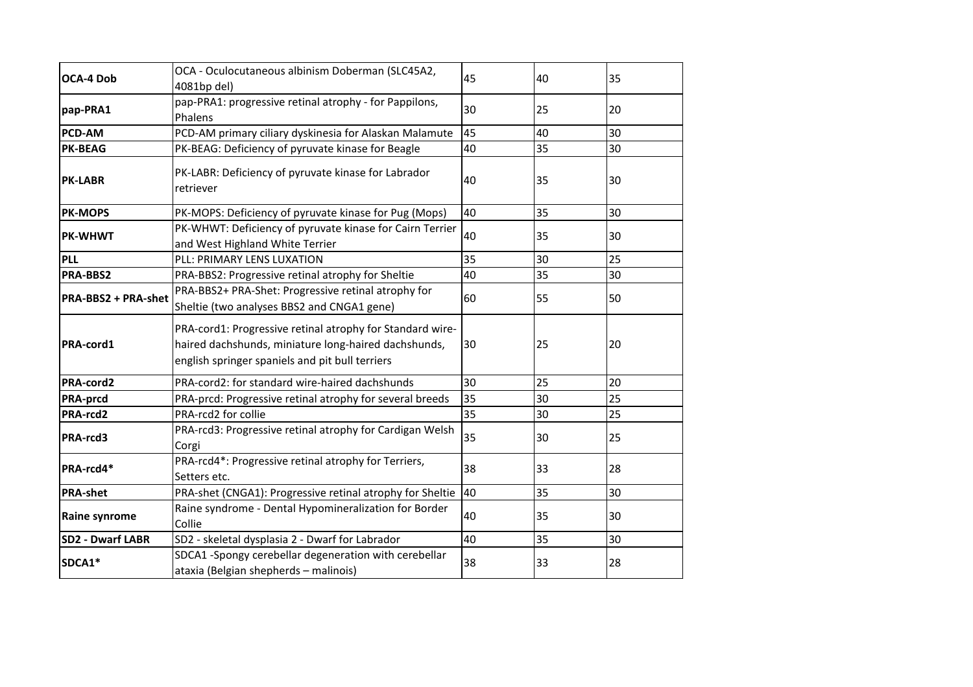| <b>OCA-4 Dob</b>        | OCA - Oculocutaneous albinism Doberman (SLC45A2,<br>4081bp del)                                                                                                      | 45 | 40 | 35 |
|-------------------------|----------------------------------------------------------------------------------------------------------------------------------------------------------------------|----|----|----|
| pap-PRA1                | pap-PRA1: progressive retinal atrophy - for Pappilons,<br>Phalens                                                                                                    | 30 | 25 | 20 |
| PCD-AM                  | PCD-AM primary ciliary dyskinesia for Alaskan Malamute                                                                                                               | 45 | 40 | 30 |
| <b>PK-BEAG</b>          | PK-BEAG: Deficiency of pyruvate kinase for Beagle                                                                                                                    | 40 | 35 | 30 |
| <b>PK-LABR</b>          | PK-LABR: Deficiency of pyruvate kinase for Labrador<br>retriever                                                                                                     | 40 | 35 | 30 |
| <b>PK-MOPS</b>          | PK-MOPS: Deficiency of pyruvate kinase for Pug (Mops)                                                                                                                | 40 | 35 | 30 |
| <b>PK-WHWT</b>          | PK-WHWT: Deficiency of pyruvate kinase for Cairn Terrier<br>and West Highland White Terrier                                                                          | 40 | 35 | 30 |
| <b>PLL</b>              | PLL: PRIMARY LENS LUXATION                                                                                                                                           | 35 | 30 | 25 |
| PRA-BBS2                | PRA-BBS2: Progressive retinal atrophy for Sheltie                                                                                                                    | 40 | 35 | 30 |
| PRA-BBS2 + PRA-shet     | PRA-BBS2+ PRA-Shet: Progressive retinal atrophy for<br>Sheltie (two analyses BBS2 and CNGA1 gene)                                                                    | 60 | 55 | 50 |
| PRA-cord1               | PRA-cord1: Progressive retinal atrophy for Standard wire-<br>haired dachshunds, miniature long-haired dachshunds,<br>english springer spaniels and pit bull terriers | 30 | 25 | 20 |
| PRA-cord2               | PRA-cord2: for standard wire-haired dachshunds                                                                                                                       | 30 | 25 | 20 |
| <b>PRA-prcd</b>         | PRA-prcd: Progressive retinal atrophy for several breeds                                                                                                             | 35 | 30 | 25 |
| PRA-rcd2                | PRA-rcd2 for collie                                                                                                                                                  | 35 | 30 | 25 |
| PRA-rcd3                | PRA-rcd3: Progressive retinal atrophy for Cardigan Welsh<br>Corgi                                                                                                    | 35 | 30 | 25 |
| PRA-rcd4*               | PRA-rcd4*: Progressive retinal atrophy for Terriers,<br>Setters etc.                                                                                                 | 38 | 33 | 28 |
| <b>PRA-shet</b>         | PRA-shet (CNGA1): Progressive retinal atrophy for Sheltie                                                                                                            | 40 | 35 | 30 |
| <b>Raine synrome</b>    | Raine syndrome - Dental Hypomineralization for Border<br>Collie                                                                                                      | 40 | 35 | 30 |
| <b>SD2 - Dwarf LABR</b> | SD2 - skeletal dysplasia 2 - Dwarf for Labrador                                                                                                                      | 40 | 35 | 30 |
| SDCA1*                  | SDCA1 -Spongy cerebellar degeneration with cerebellar<br>ataxia (Belgian shepherds - malinois)                                                                       | 38 | 33 | 28 |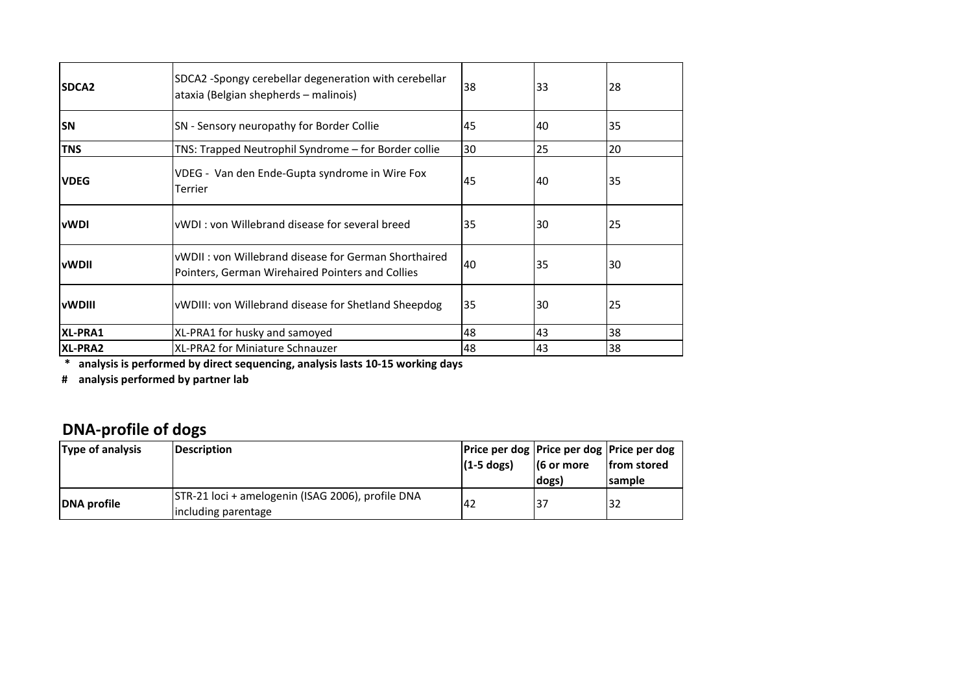| SDCA <sub>2</sub> | SDCA2 -Spongy cerebellar degeneration with cerebellar<br>ataxia (Belgian shepherds - malinois)           | 38 | 33 | 28 |
|-------------------|----------------------------------------------------------------------------------------------------------|----|----|----|
| <b>SN</b>         | SN - Sensory neuropathy for Border Collie                                                                | 45 | 40 | 35 |
| <b>TNS</b>        | TNS: Trapped Neutrophil Syndrome - for Border collie                                                     | 30 | 25 | 20 |
| <b>VDEG</b>       | VDEG - Van den Ende-Gupta syndrome in Wire Fox<br>Terrier                                                | 45 | 40 | 35 |
| <b>vWDI</b>       | <b>I</b> vWDI: von Willebrand disease for several breed                                                  | 35 | 30 | 25 |
| <b>IvWDII</b>     | vWDII: von Willebrand disease for German Shorthaired<br>Pointers, German Wirehaired Pointers and Collies | 40 | 35 | 30 |
| lvWDIII.          | VWDIII: von Willebrand disease for Shetland Sheepdog                                                     | 35 | 30 | 25 |
| XL-PRA1           | XL-PRA1 for husky and samoyed                                                                            | 48 | 43 | 38 |
| XL-PRA2           | XL-PRA2 for Miniature Schnauzer                                                                          | 48 | 43 | 38 |

 **\* analysis is performed by direct sequencing, analysis lasts 10-15 working days**

**# analysis performed by partner lab**

## **DNA-profile of dogs**

| <b>Type of analysis</b> | Description                                                              | Price per dog   Price per dog   Price per dog<br>$(1-5$ dogs) | $(6 \text{ or more})$<br> dogs) | from stored<br><b>Isample</b> |
|-------------------------|--------------------------------------------------------------------------|---------------------------------------------------------------|---------------------------------|-------------------------------|
| DNA profile             | STR-21 loci + amelogenin (ISAG 2006), profile DNA<br>including parentage | 42                                                            |                                 | 132                           |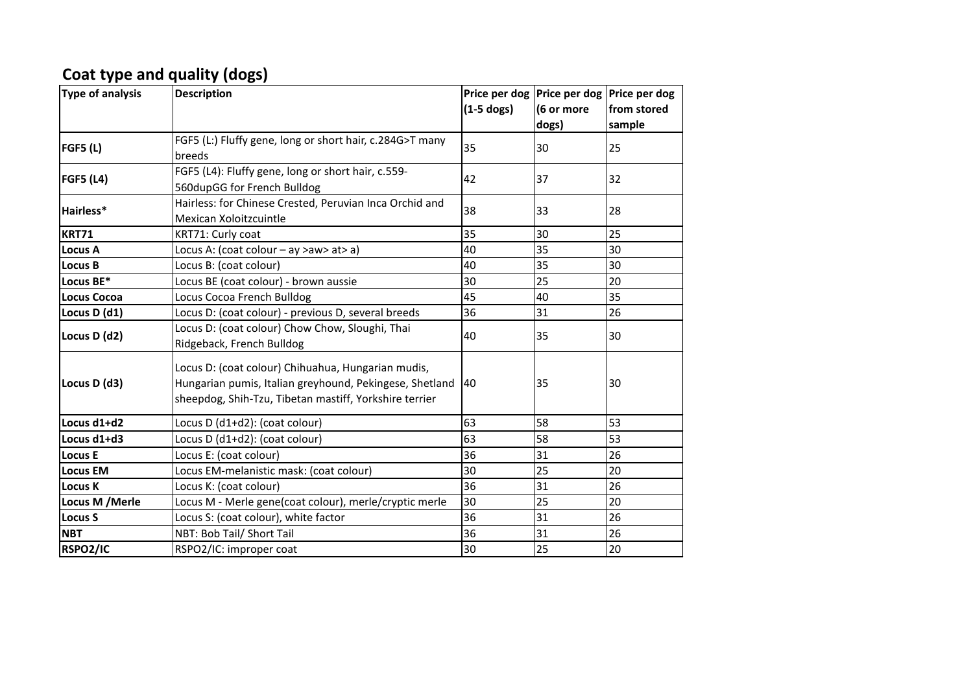### **Coat type and quality (dogs)**

| <b>Type of analysis</b> | <b>Description</b>                                                                                                                                                      | $(1-5$ dogs) | Price per dog   Price per dog   Price per dog<br>(6 or more<br>dogs) | from stored<br>sample |
|-------------------------|-------------------------------------------------------------------------------------------------------------------------------------------------------------------------|--------------|----------------------------------------------------------------------|-----------------------|
| <b>FGF5 (L)</b>         | FGF5 (L:) Fluffy gene, long or short hair, c.284G>T many<br>breeds                                                                                                      | 35           | 30                                                                   | 25                    |
| <b>FGF5 (L4)</b>        | FGF5 (L4): Fluffy gene, long or short hair, c.559-<br>560dupGG for French Bulldog                                                                                       | 42           | 37                                                                   | 32                    |
| Hairless*               | Hairless: for Chinese Crested, Peruvian Inca Orchid and<br>Mexican Xoloitzcuintle                                                                                       | 38           | 33                                                                   | 28                    |
| <b>KRT71</b>            | KRT71: Curly coat                                                                                                                                                       | 35           | 30                                                                   | 25                    |
| <b>Locus A</b>          | Locus A: (coat colour - ay >aw> at> a)                                                                                                                                  | 40           | 35                                                                   | 30                    |
| <b>Locus B</b>          | Locus B: (coat colour)                                                                                                                                                  | 40           | 35                                                                   | 30                    |
| Locus BE*               | Locus BE (coat colour) - brown aussie                                                                                                                                   | 30           | 25                                                                   | 20                    |
| <b>Locus Cocoa</b>      | Locus Cocoa French Bulldog                                                                                                                                              | 45           | 40                                                                   | 35                    |
| Locus D (d1)            | Locus D: (coat colour) - previous D, several breeds                                                                                                                     | 36           | 31                                                                   | 26                    |
| Locus D (d2)            | Locus D: (coat colour) Chow Chow, Sloughi, Thai<br>Ridgeback, French Bulldog                                                                                            | 40           | 35                                                                   | 30                    |
| Locus D (d3)            | Locus D: (coat colour) Chihuahua, Hungarian mudis,<br>Hungarian pumis, Italian greyhound, Pekingese, Shetland<br>sheepdog, Shih-Tzu, Tibetan mastiff, Yorkshire terrier | 40           | 35                                                                   | 30                    |
| Locus d1+d2             | Locus D (d1+d2): (coat colour)                                                                                                                                          | 63           | 58                                                                   | 53                    |
| Locus d1+d3             | Locus D (d1+d2): (coat colour)                                                                                                                                          | 63           | 58                                                                   | 53                    |
| <b>Locus E</b>          | Locus E: (coat colour)                                                                                                                                                  | 36           | 31                                                                   | 26                    |
| <b>Locus EM</b>         | Locus EM-melanistic mask: (coat colour)                                                                                                                                 | 30           | 25                                                                   | 20                    |
| <b>Locus K</b>          | Locus K: (coat colour)                                                                                                                                                  | 36           | 31                                                                   | 26                    |
| Locus M / Merle         | Locus M - Merle gene(coat colour), merle/cryptic merle                                                                                                                  | 30           | 25                                                                   | 20                    |
| <b>Locus S</b>          | Locus S: (coat colour), white factor                                                                                                                                    | 36           | 31                                                                   | 26                    |
| <b>NBT</b>              | NBT: Bob Tail/ Short Tail                                                                                                                                               | 36           | 31                                                                   | 26                    |
| RSPO2/IC                | RSPO2/IC: improper coat                                                                                                                                                 | 30           | 25                                                                   | 20                    |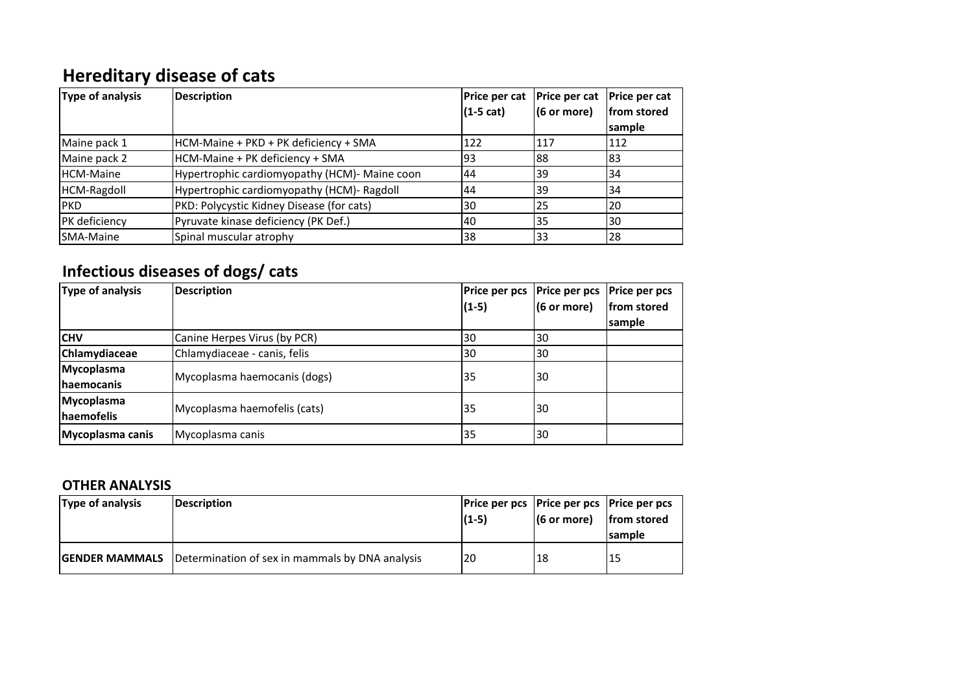# **Hereditary disease of cats**

| Type of analysis | <b>Description</b>                            | Price per cat<br>$(1-5 cat)$ | Price per cat<br>$(6 \text{ or more})$ | <b>Price per cat</b><br>from stored |
|------------------|-----------------------------------------------|------------------------------|----------------------------------------|-------------------------------------|
|                  |                                               |                              |                                        | sample                              |
| Maine pack 1     | HCM-Maine + PKD + PK deficiency + SMA         | 122                          | 1117                                   | 112                                 |
| Maine pack 2     | HCM-Maine + PK deficiency + SMA               | 93                           | 188                                    | 183                                 |
| HCM-Maine        | Hypertrophic cardiomyopathy (HCM)- Maine coon | 44                           | 139                                    | 34                                  |
| HCM-Ragdoll      | Hypertrophic cardiomyopathy (HCM)- Ragdoll    | 44                           | 139                                    | 34                                  |
| <b>PKD</b>       | PKD: Polycystic Kidney Disease (for cats)     | 30                           | 25                                     | 20                                  |
| PK deficiency    | Pyruvate kinase deficiency (PK Def.)          | l40                          | 135                                    | l30                                 |
| <b>SMA-Maine</b> | Spinal muscular atrophy                       | 138                          | 33                                     | 28                                  |

## **Infectious diseases of dogs/ cats**

| Type of analysis   | <b>Description</b>           | <b>Price per pcs</b> | <b>Price per pcs</b>  | <b>Price per pcs</b> |
|--------------------|------------------------------|----------------------|-----------------------|----------------------|
|                    |                              | $(1-5)$              | $(6 \text{ or more})$ | from stored          |
|                    |                              |                      |                       | sample               |
| <b>ICHV</b>        | Canine Herpes Virus (by PCR) | 30                   | 30                    |                      |
| Chlamydiaceae      | Chlamydiaceae - canis, felis | 30                   | 30                    |                      |
| <b>Mycoplasma</b>  | Mycoplasma haemocanis (dogs) | 35                   | l30                   |                      |
| <b>Ihaemocanis</b> |                              |                      |                       |                      |
| Mycoplasma         | Mycoplasma haemofelis (cats) | 35                   | 30                    |                      |
| <b>Inaemofelis</b> |                              |                      |                       |                      |
| Mycoplasma canis   | Mycoplasma canis             | 35                   | 30                    |                      |

#### **OTHER ANALYSIS**

| Type of analysis      | Description                                     | Price per pcs   Price per pcs   Price per pcs<br>$(1-5)$ | $(6 \text{ or more})$ | from stored<br><b>Isample</b> |
|-----------------------|-------------------------------------------------|----------------------------------------------------------|-----------------------|-------------------------------|
| <b>GENDER MAMMALS</b> | Determination of sex in mammals by DNA analysis | 20                                                       | 18                    | 115                           |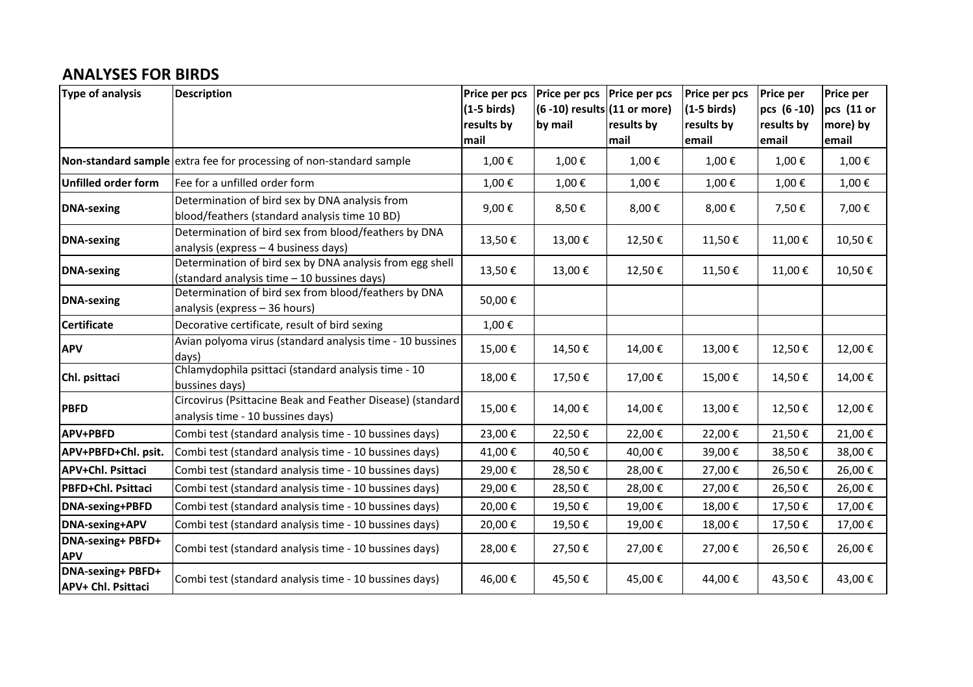### **ANALYSES FOR BIRDS**

| <b>Type of analysis</b>                        | <b>Description</b>                                                                                      | Price per pcs<br>$(1-5 \text{ birds})$<br>results by<br>mail | <b>Price per pcs</b><br>$(6 - 10)$ results $(11$ or more)<br>by mail | <b>Price per pcs</b><br>results by<br>mail | Price per pcs<br>$(1-5 \text{ birds})$<br>results by<br>email | <b>Price per</b><br>pcs (6-10)<br>results by<br>email | <b>Price per</b><br>pcs (11 or<br>more) by<br>email |
|------------------------------------------------|---------------------------------------------------------------------------------------------------------|--------------------------------------------------------------|----------------------------------------------------------------------|--------------------------------------------|---------------------------------------------------------------|-------------------------------------------------------|-----------------------------------------------------|
|                                                | Non-standard sample extra fee for processing of non-standard sample                                     | 1,00€                                                        | 1,00€                                                                | 1,00€                                      | 1,00€                                                         | 1,00€                                                 | 1,00€                                               |
| Unfilled order form                            | Fee for a unfilled order form                                                                           | 1,00€                                                        | 1,00€                                                                | 1,00€                                      | 1,00€                                                         | 1,00€                                                 | 1,00€                                               |
| <b>DNA-sexing</b>                              | Determination of bird sex by DNA analysis from<br>blood/feathers (standard analysis time 10 BD)         | 9,00€                                                        | 8,50€                                                                | 8,00€                                      | 8,00€                                                         | 7,50€                                                 | 7,00€                                               |
| <b>DNA-sexing</b>                              | Determination of bird sex from blood/feathers by DNA<br>analysis (express - 4 business days)            | 13,50€                                                       | 13,00€                                                               | 12,50€                                     | 11,50€                                                        | 11,00€                                                | 10,50€                                              |
| <b>DNA-sexing</b>                              | Determination of bird sex by DNA analysis from egg shell<br>(standard analysis time - 10 bussines days) | 13,50€                                                       | 13,00€                                                               | 12,50€                                     | 11,50€                                                        | 11,00€                                                | 10,50€                                              |
| <b>DNA-sexing</b>                              | Determination of bird sex from blood/feathers by DNA<br>analysis (express - 36 hours)                   | 50,00€                                                       |                                                                      |                                            |                                                               |                                                       |                                                     |
| <b>Certificate</b>                             | Decorative certificate, result of bird sexing                                                           | 1,00€                                                        |                                                                      |                                            |                                                               |                                                       |                                                     |
| <b>APV</b>                                     | Avian polyoma virus (standard analysis time - 10 bussines<br>days)                                      | 15,00€                                                       | 14,50€                                                               | 14,00€                                     | 13,00€                                                        | 12,50€                                                | 12,00€                                              |
| Chl. psittaci                                  | Chlamydophila psittaci (standard analysis time - 10<br>bussines days)                                   | 18,00€                                                       | 17,50€                                                               | 17,00€                                     | 15,00€                                                        | 14,50€                                                | 14,00€                                              |
| <b>PBFD</b>                                    | Circovirus (Psittacine Beak and Feather Disease) (standard<br>analysis time - 10 bussines days)         | 15,00€                                                       | 14,00€                                                               | 14,00€                                     | 13,00€                                                        | 12,50€                                                | 12,00€                                              |
| <b>APV+PBFD</b>                                | Combi test (standard analysis time - 10 bussines days)                                                  | 23,00€                                                       | 22,50€                                                               | 22,00€                                     | 22,00€                                                        | 21,50€                                                | 21,00€                                              |
| APV+PBFD+Chl. psit.                            | Combi test (standard analysis time - 10 bussines days)                                                  | 41,00€                                                       | 40,50€                                                               | 40,00€                                     | 39,00€                                                        | 38,50€                                                | 38,00€                                              |
| <b>APV+Chl. Psittaci</b>                       | Combi test (standard analysis time - 10 bussines days)                                                  | 29,00€                                                       | 28,50€                                                               | 28,00€                                     | 27,00€                                                        | 26,50€                                                | 26,00€                                              |
| PBFD+Chl. Psittaci                             | Combi test (standard analysis time - 10 bussines days)                                                  | 29,00€                                                       | 28,50€                                                               | 28,00€                                     | 27,00€                                                        | 26,50€                                                | 26,00€                                              |
| DNA-sexing+PBFD                                | Combi test (standard analysis time - 10 bussines days)                                                  | 20,00€                                                       | 19,50€                                                               | 19,00€                                     | 18,00€                                                        | 17,50€                                                | 17,00€                                              |
| <b>DNA-sexing+APV</b>                          | Combi test (standard analysis time - 10 bussines days)                                                  | 20,00€                                                       | 19,50€                                                               | 19,00€                                     | 18,00€                                                        | 17,50€                                                | 17,00€                                              |
| <b>DNA-sexing+ PBFD+</b><br><b>APV</b>         | Combi test (standard analysis time - 10 bussines days)                                                  | 28,00€                                                       | 27,50€                                                               | 27,00€                                     | 27,00€                                                        | 26,50€                                                | 26,00€                                              |
| <b>DNA-sexing+ PBFD+</b><br>APV+ Chl. Psittaci | Combi test (standard analysis time - 10 bussines days)                                                  | 46,00€                                                       | 45,50€                                                               | 45,00€                                     | 44,00€                                                        | 43,50€                                                | 43,00€                                              |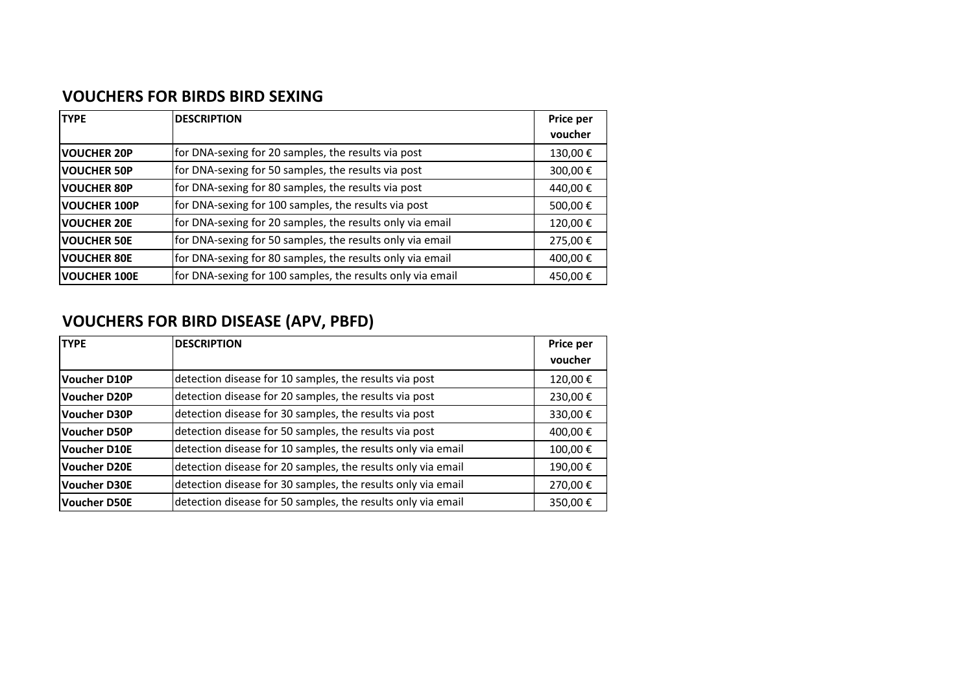### **VOUCHERS FOR BIRDS BIRD SEXING**

| <b>TYPE</b>         | <b>DESCRIPTION</b>                                         | Price per |
|---------------------|------------------------------------------------------------|-----------|
|                     |                                                            | voucher   |
| <b>VOUCHER 20P</b>  | for DNA-sexing for 20 samples, the results via post        | 130,00€   |
| <b>VOUCHER 50P</b>  | for DNA-sexing for 50 samples, the results via post        | 300,00€   |
| <b>VOUCHER 80P</b>  | for DNA-sexing for 80 samples, the results via post        | 440,00€   |
| <b>VOUCHER 100P</b> | for DNA-sexing for 100 samples, the results via post       | 500,00€   |
| <b>VOUCHER 20E</b>  | for DNA-sexing for 20 samples, the results only via email  | 120,00€   |
| <b>VOUCHER 50E</b>  | for DNA-sexing for 50 samples, the results only via email  | 275,00€   |
| <b>VOUCHER 80E</b>  | for DNA-sexing for 80 samples, the results only via email  | 400,00€   |
| <b>VOUCHER 100E</b> | for DNA-sexing for 100 samples, the results only via email | 450,00€   |

## **VOUCHERS FOR BIRD DISEASE (APV, PBFD)**

| <b>TYPE</b>         | <b>DESCRIPTION</b>                                           | Price per |
|---------------------|--------------------------------------------------------------|-----------|
|                     |                                                              | voucher   |
| <b>Voucher D10P</b> | detection disease for 10 samples, the results via post       | 120,00€   |
| Voucher D20P        | detection disease for 20 samples, the results via post       | 230,00€   |
| Voucher D30P        | detection disease for 30 samples, the results via post       | 330,00€   |
| Voucher D50P        | detection disease for 50 samples, the results via post       | 400,00€   |
| Voucher D10E        | detection disease for 10 samples, the results only via email | 100,00€   |
| Voucher D20E        | detection disease for 20 samples, the results only via email | 190,00€   |
| Voucher D30E        | detection disease for 30 samples, the results only via email | 270,00€   |
| Voucher D50E        | detection disease for 50 samples, the results only via email | 350,00€   |